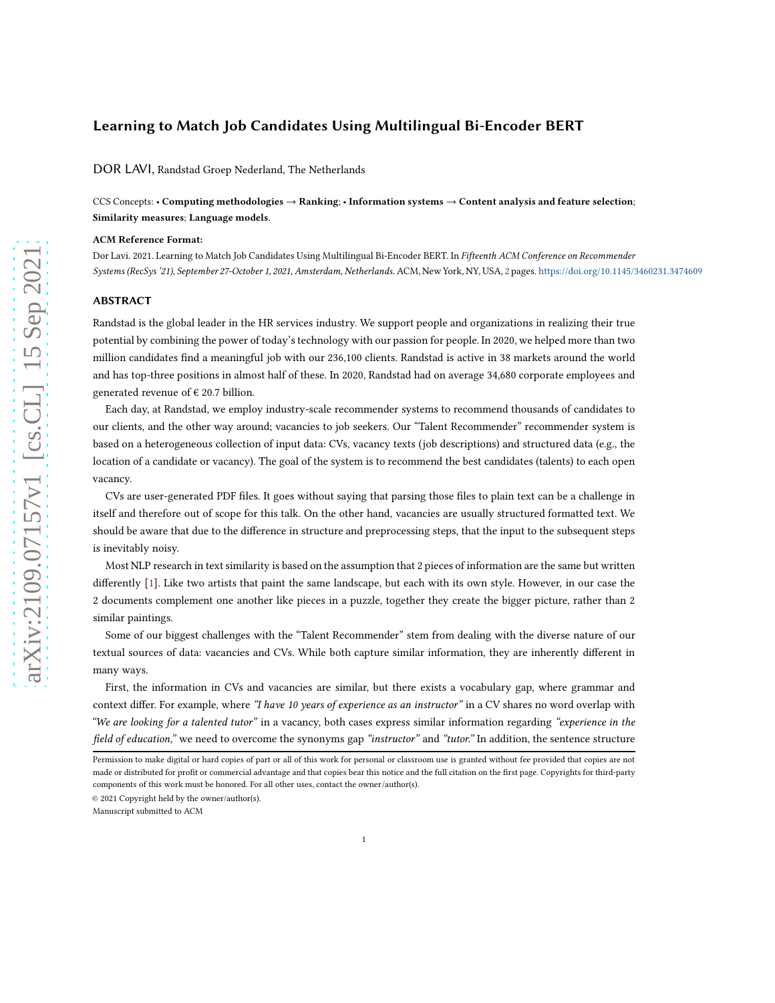# Learning to Match Job Candidates Using Multilingual Bi-Encoder BERT

DOR LAVI, Randstad Groep Nederland, The Netherlands

CCS Concepts: • Computing methodologies → Ranking; • Information systems → Content analysis and feature selection; Similarity measures; Language models.

#### ACM Reference Format:

Dor Lavi. 2021. Learning to Match Job Candidates Using Multilingual Bi-Encoder BERT. In Fifteenth ACM Conference on Recommender Systems (RecSys '21), September 27-October 1, 2021, Amsterdam, Netherlands. ACM, New York, NY, USA, [2](#page-1-0) pages. <https://doi.org/10.1145/3460231.3474609>

### ABSTRACT

Randstad is the global leader in the HR services industry. We support people and organizations in realizing their true potential by combining the power of today's technology with our passion for people. In 2020, we helped more than two million candidates find a meaningful job with our 236,100 clients. Randstad is active in 38 markets around the world and has top-three positions in almost half of these. In 2020, Randstad had on average 34,680 corporate employees and generated revenue of  $\epsilon$  20.7 billion.

Each day, at Randstad, we employ industry-scale recommender systems to recommend thousands of candidates to our clients, and the other way around; vacancies to job seekers. Our "Talent Recommender" recommender system is based on a heterogeneous collection of input data: CVs, vacancy texts (job descriptions) and structured data (e.g., the location of a candidate or vacancy). The goal of the system is to recommend the best candidates (talents) to each open vacancy.

CVs are user-generated PDF files. It goes without saying that parsing those files to plain text can be a challenge in itself and therefore out of scope for this talk. On the other hand, vacancies are usually structured formatted text. We should be aware that due to the difference in structure and preprocessing steps, that the input to the subsequent steps is inevitably noisy.

Most NLP research in text similarity is based on the assumption that 2 pieces of information are the same but written differently [1]. Like two artists that paint the same landscape, but each with its own style. However, in our case the 2 documents complement one another like pieces in a puzzle, together they create the bigger picture, rather than 2 similar paintings.

Some of our biggest challenges with the "Talent Recommender" stem from dealing with the diverse nature of our textual sources of data: vacancies and CVs. While both capture similar information, they are inherently different in many ways.

First, the information in CVs and vacancies are similar, but there exists a vocabulary gap, where grammar and context differ. For example, where "I have 10 years of experience as an instructor" in a CV shares no word overlap with "We are looking for a talented tutor" in a vacancy, both cases express similar information regarding "experience in the field of education," we need to overcome the synonyms gap "instructor" and "tutor." In addition, the sentence structure

© 2021 Copyright held by the owner/author(s).

Manuscript submitted to ACM

Permission to make digital or hard copies of part or all of this work for personal or classroom use is granted without fee provided that copies are not made or distributed for profit or commercial advantage and that copies bear this notice and the full citation on the first page. Copyrights for third-party components of this work must be honored. For all other uses, contact the owner/author(s).